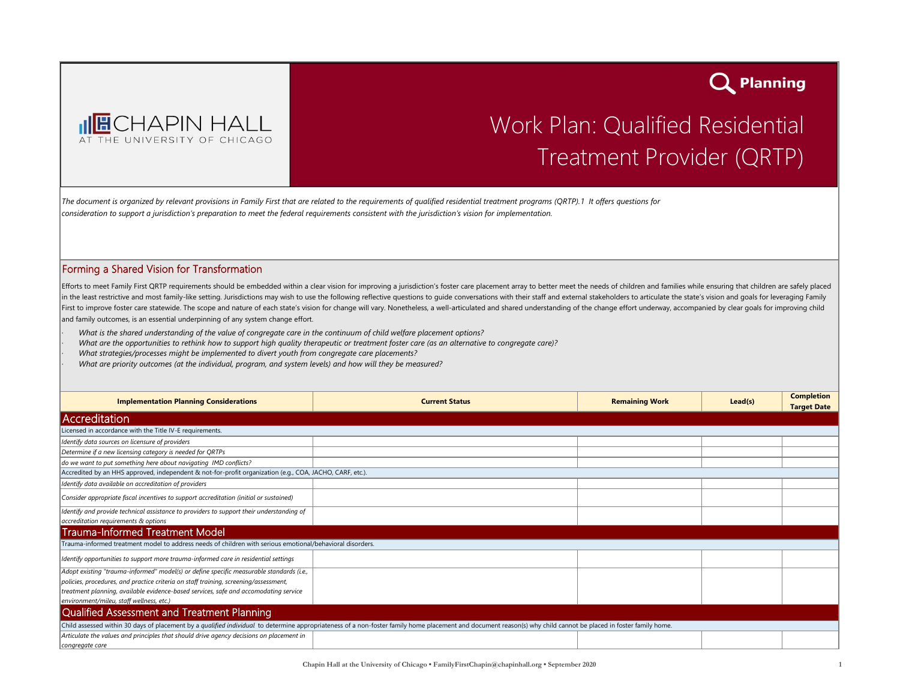

## Work Plan: Qualified Residential Treatment Provider (QRTP)

Q Planning

*The document is organized by relevant provisions in Family First that are related to the requirements of qualified residential treatment programs (QRTP).1 It offers questions for consideration to support a jurisdiction's preparation to meet the federal requirements consistent with the jurisdiction's vision for implementation.* 

## Forming a Shared Vision for Transformation

Efforts to meet Family First QRTP requirements should be embedded within a clear vision for improving a jurisdiction's foster care placement array to better meet the needs of children and families while ensuring that child in the least restrictive and most family-like setting. Jurisdictions may wish to use the following reflective questions to guide conversations with their staff and external stakeholders to articulate the state's vision and First to improve foster care statewide. The scope and nature of each state's vision for change will vary. Nonetheless, a well-articulated and shared understanding of the change effort underway, accompanied by clear goals f and family outcomes, is an essential underpinning of any system change effort.

*· What is the shared understanding of the value of congregate care in the continuum of child welfare placement options?*

- *· What are the opportunities to rethink how to support high quality therapeutic or treatment foster care (as an alternative to congregate care)?*
- *· What strategies/processes might be implemented to divert youth from congregate care placements?*
- *· What are priority outcomes (at the individual, program, and system levels) and how will they be measured?*

| <b>Implementation Planning Considerations</b>                                                                                                                                                                    | <b>Current Status</b> | <b>Remaining Work</b> | $lead(s)$ | <b>Completion</b><br><b>Target Date</b> |  |  |  |
|------------------------------------------------------------------------------------------------------------------------------------------------------------------------------------------------------------------|-----------------------|-----------------------|-----------|-----------------------------------------|--|--|--|
| Accreditation                                                                                                                                                                                                    |                       |                       |           |                                         |  |  |  |
| Licensed in accordance with the Title IV-E requirements.                                                                                                                                                         |                       |                       |           |                                         |  |  |  |
| Identify data sources on licensure of providers                                                                                                                                                                  |                       |                       |           |                                         |  |  |  |
| Determine if a new licensing category is needed for QRTPs                                                                                                                                                        |                       |                       |           |                                         |  |  |  |
| do we want to put something here about navigating IMD conflicts?                                                                                                                                                 |                       |                       |           |                                         |  |  |  |
| Accredited by an HHS approved, independent & not-for-profit organization (e.g., COA, JACHO, CARF, etc.).                                                                                                         |                       |                       |           |                                         |  |  |  |
| Identify data available on accreditation of providers                                                                                                                                                            |                       |                       |           |                                         |  |  |  |
| Consider appropriate fiscal incentives to support accreditation (initial or sustained)                                                                                                                           |                       |                       |           |                                         |  |  |  |
| Identify and provide technical assistance to providers to support their understanding of                                                                                                                         |                       |                       |           |                                         |  |  |  |
| accreditation requirements & options                                                                                                                                                                             |                       |                       |           |                                         |  |  |  |
| Trauma-Informed Treatment Model                                                                                                                                                                                  |                       |                       |           |                                         |  |  |  |
| Trauma-informed treatment model to address needs of children with serious emotional/behavioral disorders.                                                                                                        |                       |                       |           |                                         |  |  |  |
| Identify opportunities to support more trauma-informed care in residential settings                                                                                                                              |                       |                       |           |                                         |  |  |  |
| Adopt existing "trauma-informed" model(s) or define specific measurable standards (i.e.,                                                                                                                         |                       |                       |           |                                         |  |  |  |
| policies, procedures, and practice criteria on staff training, screening/assessment,                                                                                                                             |                       |                       |           |                                         |  |  |  |
| treatment planning, available evidence-based services, safe and accomodating service                                                                                                                             |                       |                       |           |                                         |  |  |  |
| environment/mileu, staff wellness, etc.)                                                                                                                                                                         |                       |                       |           |                                         |  |  |  |
| Qualified Assessment and Treatment Planning                                                                                                                                                                      |                       |                       |           |                                         |  |  |  |
| Child assessed within 30 days of placement by a qualified individual to determine appropriateness of a non-foster family home placement and document reason(s) why child cannot be placed in foster family home. |                       |                       |           |                                         |  |  |  |
| Articulate the values and principles that should drive agency decisions on placement in                                                                                                                          |                       |                       |           |                                         |  |  |  |
| congregate care                                                                                                                                                                                                  |                       |                       |           |                                         |  |  |  |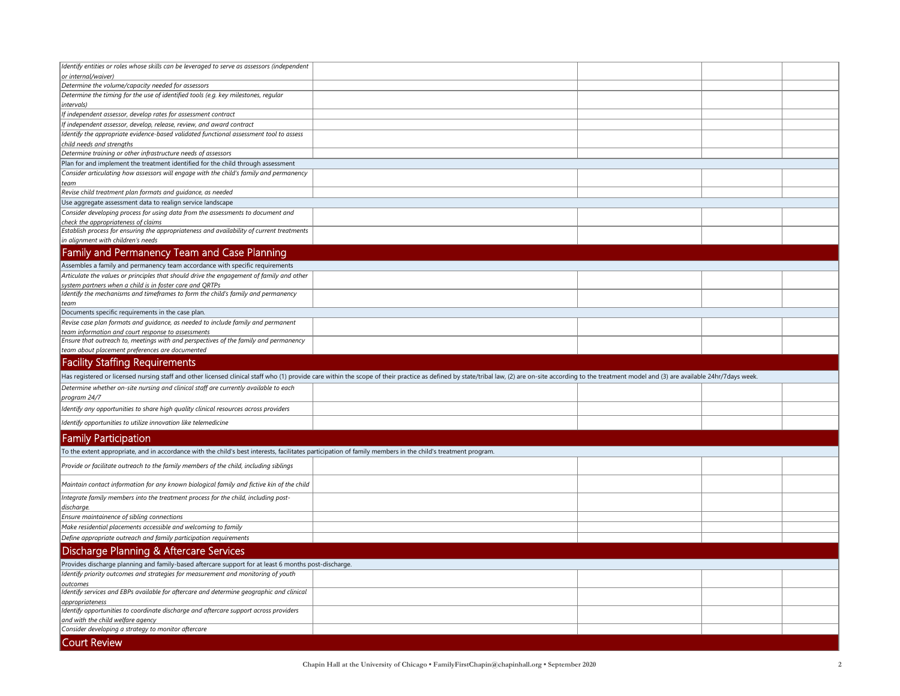| Identify entities or roles whose skills can be leveraged to serve as assessors (independent                                                                                               |                                                                                                                                                                                                                                |  |  |  |  |  |  |  |
|-------------------------------------------------------------------------------------------------------------------------------------------------------------------------------------------|--------------------------------------------------------------------------------------------------------------------------------------------------------------------------------------------------------------------------------|--|--|--|--|--|--|--|
| or internal/waiver)                                                                                                                                                                       |                                                                                                                                                                                                                                |  |  |  |  |  |  |  |
| Determine the volume/capacity needed for assessors                                                                                                                                        |                                                                                                                                                                                                                                |  |  |  |  |  |  |  |
| Determine the timing for the use of identified tools (e.g. key milestones, regular<br>intervals)                                                                                          |                                                                                                                                                                                                                                |  |  |  |  |  |  |  |
| If independent assessor, develop rates for assessment contract                                                                                                                            |                                                                                                                                                                                                                                |  |  |  |  |  |  |  |
| If independent assessor, develop, release, review, and award contract                                                                                                                     |                                                                                                                                                                                                                                |  |  |  |  |  |  |  |
| Identify the appropriate evidence-based validated functional assessment tool to assess                                                                                                    |                                                                                                                                                                                                                                |  |  |  |  |  |  |  |
| child needs and strengths                                                                                                                                                                 |                                                                                                                                                                                                                                |  |  |  |  |  |  |  |
| Determine training or other infrastructure needs of assessors<br>Plan for and implement the treatment identified for the child through assessment                                         |                                                                                                                                                                                                                                |  |  |  |  |  |  |  |
| Consider articulating how assessors will engage with the child's family and permanency                                                                                                    |                                                                                                                                                                                                                                |  |  |  |  |  |  |  |
| team                                                                                                                                                                                      |                                                                                                                                                                                                                                |  |  |  |  |  |  |  |
| Revise child treatment plan formats and guidance, as needed                                                                                                                               |                                                                                                                                                                                                                                |  |  |  |  |  |  |  |
| Use aggregate assessment data to realign service landscape                                                                                                                                |                                                                                                                                                                                                                                |  |  |  |  |  |  |  |
| Consider developing process for using data from the assessments to document and                                                                                                           |                                                                                                                                                                                                                                |  |  |  |  |  |  |  |
| check the appropriateness of claims                                                                                                                                                       |                                                                                                                                                                                                                                |  |  |  |  |  |  |  |
| Establish process for ensuring the appropriateness and availability of current treatments<br>in alignment with children's needs                                                           |                                                                                                                                                                                                                                |  |  |  |  |  |  |  |
|                                                                                                                                                                                           |                                                                                                                                                                                                                                |  |  |  |  |  |  |  |
| Family and Permanency Team and Case Planning                                                                                                                                              |                                                                                                                                                                                                                                |  |  |  |  |  |  |  |
| Assembles a family and permanency team accordance with specific requirements                                                                                                              |                                                                                                                                                                                                                                |  |  |  |  |  |  |  |
| Articulate the values or principles that should drive the engagement of family and other                                                                                                  |                                                                                                                                                                                                                                |  |  |  |  |  |  |  |
| system partners when a child is in foster care and QRTPs<br>Identify the mechanisms and timeframes to form the child's family and permanency                                              |                                                                                                                                                                                                                                |  |  |  |  |  |  |  |
| team                                                                                                                                                                                      |                                                                                                                                                                                                                                |  |  |  |  |  |  |  |
| Documents specific requirements in the case plan.                                                                                                                                         |                                                                                                                                                                                                                                |  |  |  |  |  |  |  |
| Revise case plan formats and quidance, as needed to include family and permanent                                                                                                          |                                                                                                                                                                                                                                |  |  |  |  |  |  |  |
| team information and court response to assessments<br>Ensure that outreach to, meetings with and perspectives of the family and permanency                                                |                                                                                                                                                                                                                                |  |  |  |  |  |  |  |
| team about placement preferences are documented                                                                                                                                           |                                                                                                                                                                                                                                |  |  |  |  |  |  |  |
|                                                                                                                                                                                           |                                                                                                                                                                                                                                |  |  |  |  |  |  |  |
|                                                                                                                                                                                           |                                                                                                                                                                                                                                |  |  |  |  |  |  |  |
| <b>Facility Staffing Requirements</b>                                                                                                                                                     | Has registered or licensed nursing staff and other licensed clinical staff who (1) provide care within the scope of their practice as defined by state/tribal law, (2) are on-site according to the treatment model and (3) ar |  |  |  |  |  |  |  |
| Determine whether on-site nursing and clinical staff are currently available to each                                                                                                      |                                                                                                                                                                                                                                |  |  |  |  |  |  |  |
| program 24/7                                                                                                                                                                              |                                                                                                                                                                                                                                |  |  |  |  |  |  |  |
| Identify any opportunities to share high quality clinical resources across providers                                                                                                      |                                                                                                                                                                                                                                |  |  |  |  |  |  |  |
| Identify opportunities to utilize innovation like telemedicine                                                                                                                            |                                                                                                                                                                                                                                |  |  |  |  |  |  |  |
| <b>Family Participation</b>                                                                                                                                                               |                                                                                                                                                                                                                                |  |  |  |  |  |  |  |
| To the extent appropriate, and in accordance with the child's best interests, facilitates participation of family members in the child's treatment program.                               |                                                                                                                                                                                                                                |  |  |  |  |  |  |  |
| Provide or facilitate outreach to the family members of the child, including siblings                                                                                                     |                                                                                                                                                                                                                                |  |  |  |  |  |  |  |
| Maintain contact information for any known biological family and fictive kin of the child                                                                                                 |                                                                                                                                                                                                                                |  |  |  |  |  |  |  |
| Integrate family members into the treatment process for the child, including post-                                                                                                        |                                                                                                                                                                                                                                |  |  |  |  |  |  |  |
| discharge.                                                                                                                                                                                |                                                                                                                                                                                                                                |  |  |  |  |  |  |  |
| Ensure maintainence of sibling connections                                                                                                                                                |                                                                                                                                                                                                                                |  |  |  |  |  |  |  |
| Make residential placements accessible and welcoming to family                                                                                                                            |                                                                                                                                                                                                                                |  |  |  |  |  |  |  |
| Define appropriate outreach and family participation requirements                                                                                                                         |                                                                                                                                                                                                                                |  |  |  |  |  |  |  |
|                                                                                                                                                                                           |                                                                                                                                                                                                                                |  |  |  |  |  |  |  |
| Discharge Planning & Aftercare Services                                                                                                                                                   |                                                                                                                                                                                                                                |  |  |  |  |  |  |  |
| Provides discharge planning and family-based aftercare support for at least 6 months post-discharge.<br>Identify priority outcomes and strategies for measurement and monitoring of youth |                                                                                                                                                                                                                                |  |  |  |  |  |  |  |
| outcomes                                                                                                                                                                                  |                                                                                                                                                                                                                                |  |  |  |  |  |  |  |
| Identify services and EBPs available for aftercare and determine geographic and clinical                                                                                                  |                                                                                                                                                                                                                                |  |  |  |  |  |  |  |
| appropriateness                                                                                                                                                                           |                                                                                                                                                                                                                                |  |  |  |  |  |  |  |
| Identify opportunities to coordinate discharge and aftercare support across providers                                                                                                     |                                                                                                                                                                                                                                |  |  |  |  |  |  |  |
| and with the child welfare agency                                                                                                                                                         |                                                                                                                                                                                                                                |  |  |  |  |  |  |  |
| Consider developing a strategy to monitor aftercare<br><b>Court Review</b>                                                                                                                |                                                                                                                                                                                                                                |  |  |  |  |  |  |  |